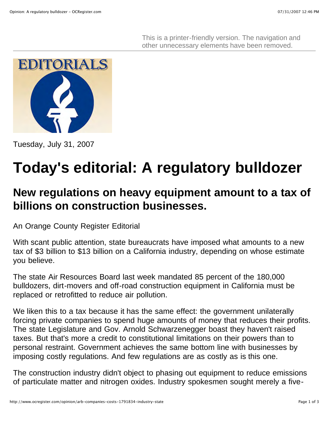This is a printer-friendly version. The navigation and other unnecessary elements have been removed.



Tuesday, July 31, 2007

## **Today's editorial: A regulatory bulldozer**

## **New regulations on heavy equipment amount to a tax of billions on construction businesses.**

An Orange County Register Editorial

With scant public attention, state bureaucrats have imposed what amounts to a new tax of \$3 billion to \$13 billion on a California industry, depending on whose estimate you believe.

The state Air Resources Board last week mandated 85 percent of the 180,000 bulldozers, dirt-movers and off-road construction equipment in California must be replaced or retrofitted to reduce air pollution.

We liken this to a tax because it has the same effect: the government unilaterally forcing private companies to spend huge amounts of money that reduces their profits. The state Legislature and Gov. Arnold Schwarzenegger boast they haven't raised taxes. But that's more a credit to constitutional limitations on their powers than to personal restraint. Government achieves the same bottom line with businesses by imposing costly regulations. And few regulations are as costly as is this one.

The construction industry didn't object to phasing out equipment to reduce emissions of particulate matter and nitrogen oxides. Industry spokesmen sought merely a five